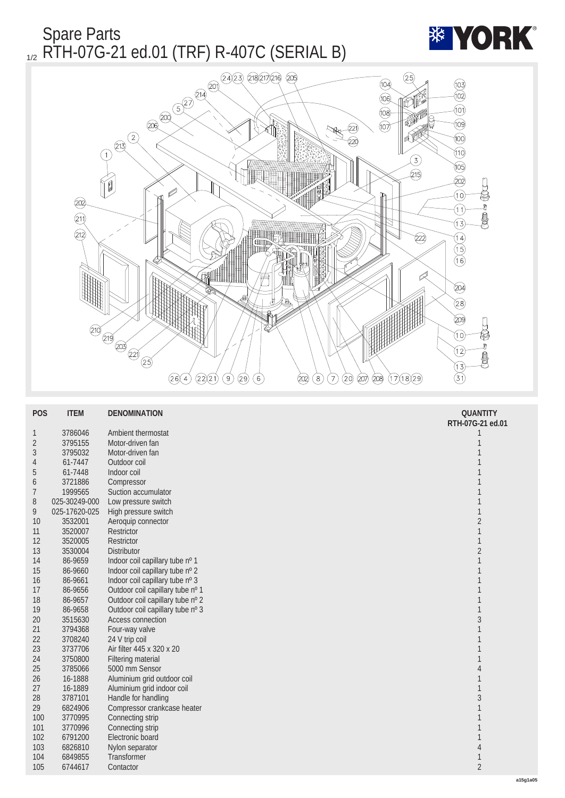Spare Parts 1/2 RTH-07G-21 ed.01 (TRF) R-407C (SERIAL B)





| <b>POS</b>       | <b>ITEM</b>   | <b>DENOMINATION</b>              | <b>QUANTITY</b><br>RTH-07G-21 ed.01 |
|------------------|---------------|----------------------------------|-------------------------------------|
| 1                | 3786046       | <b>Ambient thermostat</b>        | 1                                   |
| $\boldsymbol{2}$ | 3795155       | Motor-driven fan                 | 1                                   |
| 3                | 3795032       | Motor-driven fan                 |                                     |
| 4                | 61-7447       | Outdoor coil                     |                                     |
| $\overline{5}$   | 61-7448       | Indoor coil                      |                                     |
| 6                | 3721886       | Compressor                       |                                     |
| 7                | 1999565       | Suction accumulator              | 1                                   |
| 8                | 025-30249-000 | Low pressure switch              |                                     |
| 9                | 025-17620-025 | High pressure switch             | $\mathbf{1}$                        |
| 10               | 3532001       | Aeroquip connector               | $\overline{c}$                      |
| 11               | 3520007       | <b>Restrictor</b>                | $\mathbf{1}$                        |
| 12               | 3520005       | Restrictor                       | $\mathbf{1}$                        |
| 13               | 3530004       | Distributor                      | $\boldsymbol{2}$                    |
| 14               | 86-9659       | Indoor coil capillary tube nº 1  | $\mathbf{1}$                        |
| 15               | 86-9660       | Indoor coil capillary tube nº 2  |                                     |
| 16               | 86-9661       | Indoor coil capillary tube nº 3  |                                     |
| 17               | 86-9656       | Outdoor coil capillary tube nº 1 |                                     |
| 18               | 86-9657       | Outdoor coil capillary tube nº 2 |                                     |
| 19               | 86-9658       | Outdoor coil capillary tube nº 3 | $\mathbf{1}$                        |
| 20               | 3515630       | <b>Access connection</b>         | 3                                   |
| 21               | 3794368       | Four-way valve                   | 1                                   |
| 22               | 3708240       | 24 V trip coil                   |                                     |
| 23               | 3737706       | Air filter 445 x 320 x 20        |                                     |
| 24               | 3750800       | <b>Filtering material</b>        |                                     |
| 25               | 3785066       | 5000 mm Sensor                   | 4                                   |
| 26               | 16-1888       | Aluminium grid outdoor coil      |                                     |
| 27               | 16-1889       | Aluminium grid indoor coil       | $\mathbf{1}$                        |
| 28               | 3787101       | Handle for handling              | $\overline{3}$                      |
| 29               | 6824906       | Compressor crankcase heater      | 1                                   |
| 100              | 3770995       | Connecting strip                 |                                     |
| 101              | 3770996       | Connecting strip                 |                                     |
| 102              | 6791200       | Electronic board                 | 1                                   |
| 103              | 6826810       | Nylon separator                  | 4                                   |
| 104              | 6849855       | <b>Transformer</b>               | 1                                   |
| 105              | 6744617       | Contactor                        | $\sqrt{2}$                          |
|                  |               |                                  |                                     |